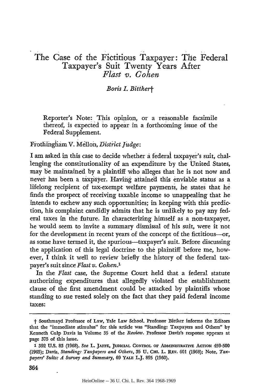## The Case of the Fictitious Taxpayer: The Federal Taxpayer's Suit Twenty Years After *Flast v. Cohen*

*Boris L Bittker-*

Reporter's Note: This opinion, or a reasonable facsimile thereof, is expected to appear in a forthcoming issue of the Federal Supplement.

Frothingim V. Mellon, *District Judge:*

I am asked in this case to decide whether a federal taxpayer's suit, challenging the constitutionality of an expenditure by the United States, may be maintained by a plaintiff Who alleges that he is not now and never has been a taxpayer. Having attained this enviable status as a lifelong recipient of tax-exempt welfare payments, he states that he finds the prospect of receiving taxable income so unappealing that he intends to eschew any such opportunities; in keeping with this prediction, his complaint candidly admits that he is unlikely to pay any federal taxes in the future. In characterizing himself as a non-taxpayer, he would seem to invite a summary dismissal of his suit, were it not for the development in recent years of the concept of the fictitious-or, as some have termed it, the spurious-taxpayer's suit. Before discussing the application of this legal doctrine to the plaintiff before me, however, I think it well to review briefly the history of the federal taxpayer's suit since *Flast v. Cohen.'*

In the *Flast* case, the Supreme Court held that a federal statute authorizing expenditures that allegedly violated the establishment clause of the first amendment could be attacked by plaintiffs whose standing to sue rested solely on the fact that they paid federal income taxes:

t Southmayd Professor of Law, Yale Law School. Professor Bittker informs the Editors that the "immediate stimulus" for this article was "Standing: Taxpayers and Others" by Kenneth Culp Davis in Volume **35** of the *Review.* Professor Davis's response appears at page 375 of this issue.

**<sup>1</sup>** 392 **U.S.** 83 (1968). *See* L. **JAFFE, JUDICIAL** CONTROL **OF ADMINISTRATIVE ACTION** 459-500 **(1965);** Davis, *Standing: Taxpayers and Others,* **35 U.** Cm. L. REv. 601 **(1968);** Note, *Taxpayers' Suits: A Survey and Summary,* **69 YALE** L.J. 895 (1960).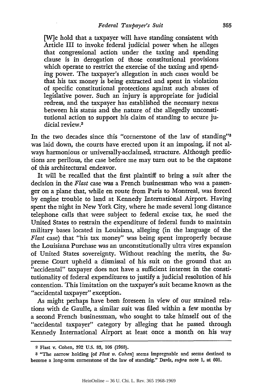[W]e hold that a taxpayer will have standing consistent with Article III to invoke federal judicial power when he alleges that congressional action under the taxing and spending clause is in derogation of those constitutional provisions which operate to restrict the exercise of the taxing and spending power. The taxpayer's allegation in such cases would be that his tax money is being extracted and spent in violation of specific constitutional protections against such abuses of legislative power. Such an injury is appropriate for judicial redress, and the taxpayer has established the necessary nexus between his status and the nature of the allegedly unconstitutional action to support his claim of standing to secure judicial review.<sup>2</sup>

In the two decades since this "cornerstone of the law of standing"<sup>3</sup> was laid down, the courts have erected upon it an imposing, if not always harmonious or universally-acclaimed, structure. Although predictions are perilous, the case before me may turn out to be the capstone of this architectural endeavor.

It will be recalled that the first plaintiff to bring a suit after the decision in the *Flast* case was a French businessman who was a passenger on a plane that, while en route from Paris to Montreal, was forced by engine trouble to land at Kennedy International Airport. Having spent the night in New York City, where he made several long distance telephone calls that were subject to federal excise tax, he sued the United States to restrain the expenditure of federal funds to maintain military bases located in Louisiana, alleging (in the language of the *Flast* case) that "his tax money" was being spent improperly because the Louisiana Purchase was an unconstitutionally ultra vires expansion of United States sovereignty. Without reaching the merits, the Supreme Court upheld a dismissal of his suit on the ground that an "accidental" taxpayer does not have a sufficient interest in the constitutionality of federal expenditures to justify a judicial resolution of his contention. This limitation on the taxpayer's suit became known as the "accidental taxpayer" exception.

As might perhaps have been foreseen in view of our strained relations with de Gaulle, a similar suit was filed within a few months by a second French businessman, who sought to take himself out of the "accidental taxpayer" category by alleging that he passed through Kennedy International Airport at least once a month on his way

**<sup>2</sup>** Flast v. Cohen, 892 U.S. **83, 106** (1968).

**<sup>3</sup>**"The narrow holding [of *Flast v. Cohen]* seems impregnable and seems destined to become a long-term cornerstone of the law of standirig." Davis, *supra* note 1, at 601.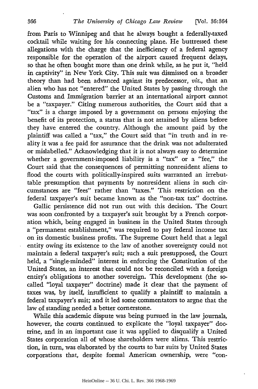from Paris to Winnipeg and that he always bought a federally-taxed cocktail while waiting for his connecting plane. He buttressed these allegations with the charge that the inefficiency of a federal agency responsible for the operation of the airport caused frequent delays, so that he often bought more than one drink while, as he put it, "held in captivity" in New York City. This suit was dismissed on a broader theory than had been advanced against its predecessor, *viz.,* that an alien who has not "entered" the United States by passing through the Customs and Immigration barrier at an international airport cannot be a "taxpayer." Citing numerous authorities, the Court said that a "tax" is a charge imposed by a government on persons enjoying the benefit of its protection, a status that is not attained by aliens before they have entered the country. Although the amount paid by the plaintiff was called a "tax," the Court said that "in truth and in reality it was a fee paid for assurance that the drink was not adulterated or mislabelled." Acknowledging that it is not always easy to determine whether a government-imposed liability is a "tax" or a "fee," the Court said that the consequences of permitting nonresident aliens to flood the courts with politically-inspired suits warranted an irrebuttable presumption that payments by nonresident aliens in such circumstances are "fees" rather than "taxes." This restriction on the federal taxpayer's suit became known as the "non-tax tax" doctrine.

Gallic persistence did not run out with this decision. The Court was soon confronted by a taxpayer's suit brought by a French corporation which, being engaged in business in the United States through a "permanent establishment," was required to pay federal income tax on its domestic business profits. The Supreme Court held that a legal entity owing its existence to the law of another sovereignty could not maintain a federal taxpayer's suit; such a suit presupposed, the Court held, a "single-minded" interest in enforcing the Constitution of the United States, an interest that could not be reconciled with a foreign entity's obligations to another sovereign. This development (the socalled "loyal taxpayer" doctrine) made it clear that the payment of taxes was, by itself, insufficient to qualify a plaintiff to maintain a federal taxpayer's suit; and it led some commentators to argue that the law of standing needed a better cornerstone.

While this academic dispute was being pursued in the law journals, however, the courts continued to explicate the "loyal taxpayer" doctrine, and in an important case it was applied to disqualify a United States corporation all of whose shareholders were aliens. This restriction, in turn, was elaborated by the courts to bar suits by United States corporations that, despite formal American ownership, were "con-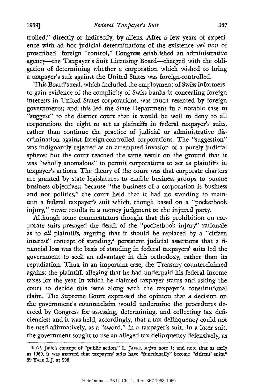trolled," directly or indirectly, by aliens. After a few years of experience with ad hoc judicial determinations of the existence *vel non* of proscribed foreign "control," Congress established an administrative agency-the Taxpayer's Suit Licensing Board-charged with the obligation of determining whether a corporation which wished to bring a taxpayer's suit against the United States was foreign-controlled.

This Board's zeal, which included the employment of Swiss informers to gain evidence of the complicity of Swiss banks in concealing foreign interests in United States corporations, was much resented by foreign governments; and this led the State Department in a notable case to "suggest" to the district court that it would be well to deny to all corporations the right to act as plaintiffs in federal taxpayer's suits, rather than continue the practice of judicial or administrative discrimination against foreign-controlled corporations. The "suggestion" was indignantly rejected as an attempted invasion of a purely judicial sphere; but the court reached the same result on the ground that it was "wholly anomalous" to permit corporations to act as plaintiffs in taxpayer's actions. The theory of the court was that corporate charters are granted by state legislatures to enable business groups to pursue business objectives; because "the business of a corporation is business and not politics," the court held that it had no standing to maintain a federal taxpayer's suit which, though based on a "pocketbook injury," never results in a money judgment to the injured party.

Although some commentators thought that this prohibition on corporate suits presaged the death of the "pocketbook injury" rationale as to *all* plaintiffs, arguing that it should be replaced by a "citizen interest" concept of standing,<sup>4</sup> persistent judicial assertions that a financial loss was the basis of standing in federal taxpayers' suits led the government to seek an advantage in this orthodoxy, rather than its repudiation. Thus, in an important case, the Treasury counterclaimed against the plaintiff, alleging that he had underpaid his federal income taxes for the year in which he claimed taxpayer status and asking the court to decide this issue along with the taxpayer's constitutional claim. The Supreme Court expressed the opinion that a decision on the government's counterclaim would undermine the procedures decreed by Congress for assessing, determining, and collecting tax deficiencies; and it was held, accordingly, that a tax delinquency could not be used affirmatively, as a "sword," in a taxpayer's suit. In a later suit, the government sought to use an alleged tax delinquency defensively, as

*<sup>4</sup>* **Cf.** Jaffe's concept of "public action," L. **JAFFE,** supra note **1;** and note that as early as 1960, it was asserted that taxpayers' suits have "functionally" become "citizens' suits." **69** YALE L.J. at **906.**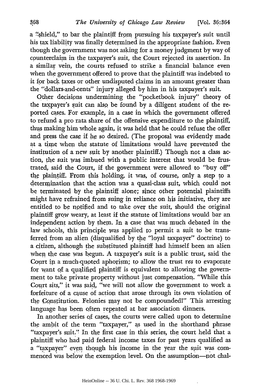a 'shield," to **bar** the plaintiff from pursuing his taxpayer's suit until his tax liability was finally determined in the appropriate fashion. Even though the government was not asking for a money judgment **by** way of counterclaim in the taxpayer's suit, the Court rejected its assertion. In a similar vein, the courts refused to strike a financial balance even when the government offered to prove that the plaintiff was indebted to it for back taxes or other undisputed claims in an amount greater than the "dollars-and-cents" injury alleged **by** him in his taxpayer's suit.

Other decisions undermining the "pocketbook injury" theory of the taxpayer's suit can also be found by a diligent student of the reported cases. For example, in a case in which the government offered to refund a pro rata share of the offensive expenditure to the plaintiff, thus making him whole again, it was held that he could refuse the offer and press the case if he so desired. (The proposal was evidently made at a time when the statute of limitations would have prevented the institution of a new suit by another plaintiff.) Though not a class action, the suit was imbued with a public interest that would be frustrated, said the Court, if the government were allowed to "buy off" the plaintiff. From this holding, it was, of course, only a step to a determination that the action was a quasi-class suit, which could not be terminated by the plaintiff alone; since other potential plaintiffs might have refrained from suing in reliance on his initiative, they are entitled to be notified and to take over the suit, should the original plaintiff grow weary, at least if the statute of limitations would bar an independent action by them. In a case that was much debated in the law schools, this principle was applied to permit a suit to be transferred from an alien (disqualified by the "loyal taxpayer" doctrine) to a citizen, although the substituted plaintiff had himself been an alien when the case was begun. A taxpayer's suit is a public trust, said the Court in a much-quoted aphorism; to allow the trust res to evaporate for want **of** a qualified plaintiff is equivalent to allowing the government to take private property without just compensation. "While this Court sits," it was said, "we will not allow the government to work a forfeiture of a cause of action that arose through its own violation of the Gonstitution. Felonies may not be compounded!" This arresting language has been often repeated at bar association dinners.

In another series **of** cases, the courts were called upon to determine the ambit of the term "taxpayer," as used in the shorthand phrase "taxpayer's suit." In the first case in this series, the court held that a plaintiff who had paid federal income taxes for past years qualified as a "taxpayer" even thqugh his income in the year the suit was commenced was below the exemption level. On the assumption--not chal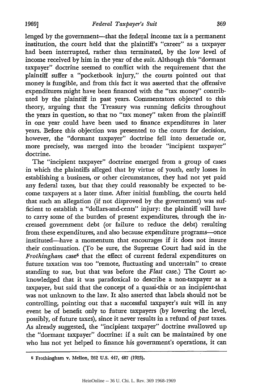lenged by the government—that the federal income tax is a permanent institution, the court held that the plaintiff's "career" as a taxpayer had been interrupted, rather than terminated, by the low level of income received by him in the year of the suit. Although this "dormant taxpayer" doctrine seemed to conflict with the requirement that the plaintiff suffer a "pocketbook injury," the courts pointed out that money is fungible, and from this fact it was asserted that the offensive expenditures might have been financed with the "tax money" contributed by the plaintiff in past years. Commentators objected to this theory, arguing that the Treasury was running deficits throughout the years in question, so that no "tax money" taken from the plaintiff in one year could have been used to finance expenditures in later years. Before this objection was presented to the courts for decision, however, the "dormant taxpayer" doctrine fell into desuetude or, more precisely, was merged into the broader "incipient taxpayer" doctrine.

The "incipient taxpayer" doctrine emerged from a group of cases in which the plaintiffs alleged that by virtue of youth, early losses in establishing a business, or other circumstances, they had not yet paid any federal taxes, but that they could reasonably be expected to become taxpayers at a later time. After initial fumbling, the courts held that such an allegation (if not disproved by the government) was sufficient to establish a "dollars-and-cents" injury: the plaintiff will have to carry some of the burden of present expenditures, through the increased government debt (or failure to reduce the debt) resulting from these expenditures, and also because expenditure programs-once instituted-have a momentum that encourages if it does not insure their continuation. (To be sure, the Supreme Court had said in the *Frothinghara* cases that the effect of current federal expenditures on future taxation was too "remote, fluctuating and uncertain" to create standing to sue, but that was before the *Flast* case.) The Court acknowledged that it was paradoxical to describe a non-taxpayer as a taxpayer, but said that the concept of a quasi-this or an incipient-that was not unknown to the law. It also asserted that labels should not be controlling, pointing out that a successful taxpayer's suit will in any event be of benefit only to future taxpayers (by lowering the level, possibly, of future taxes), since it never results in a refund of *past* taxes. As already suggested, the "incipient taxpayer" doctrine swallowed up the "dormant taxpayer" doctrine: if a suit can be maintained by one who has not yet helped to finance his government's operations, it can

<sup>5</sup> Frothingham v. Mellon, **262 U.S.** 447, **487 (1923).**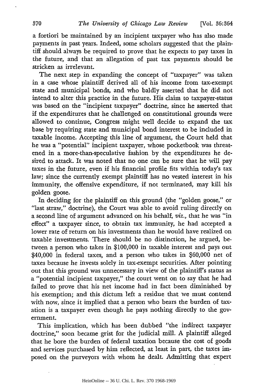a fortiori be maintained by an incipient taxpayer who has also made payments in past years. Indeed, some scholars suggested that the plaintiff should always be required to prove that he expects to pay taxes in the future, and that an allegation of past tax payments should be stricken as irrelevant.

The next step in expanding the concept of "taxpayer" was taken in a case whose plaintiff derived all of his income from tax-exempt state and municipal bonds, and who baldly asserted that he did not intend to alter this practice in the future. His claim to taxpayer-status was based on the "incipient taxpayer" doctrine, since he asserted that if the expenditures that he challenged on constitutional grounds were allowed to continue, Congress might well decide to expand the tax base by requiring state and municipal bond interest to be included in taxable income. Accepting this line of argument, the Court held that he was a "potential" incipient taxpayer, whose pocketbook was threatened in a more-than-speculative fashion **by** the expenditures he desired to attack. It was noted that no one can be sure that he will pay taxes in the future, even if his financial profile fits within today's tax law; since the currently exempt plaintiff has no vested interest in his immunity, the offensive expenditure, if not terminated, may kill his golden goose.

In deciding for the plaintiff on this ground (the "golden goose," or "last straw," doctrine), the Court was able to avoid ruling directly on a second line of argument advanced on his behalf, *viz.,* that he was "in effect" a taxpayer since, to obtain tax immunity, he had accepted a lower rate of return on his investments than he would have realized on taxable investments. There should be no distinction, he argued, between a person who takes in \$100,000 in taxable interest and pays out \$40,000 in federal taxes, and a person who takes in \$60,000 net of taxes because he invests solely in tax-exempt securities. After pointing out that this ground was unnecessary in view of the plaintiff's status as a "potential incipient taxpayer," the court went on to say that he had failed to prove that his net income had in fact been diminished **by** his exemption; and this dictum left a residue that we must contend with now, since it implied that a person who bears the burden of taxation is a taxpayer even though he pays nothing directly to the government.

This implication, which has been dubbed "the indirect taxpayer doctrine," soon became grist for the judicial mill. A plaintiff alleged that he bore the burden of federal taxation because the cost of goods and services purchased by him reflected, at least in part, the taxes imposed on the purveyors with whom he dealt. Admitting that expert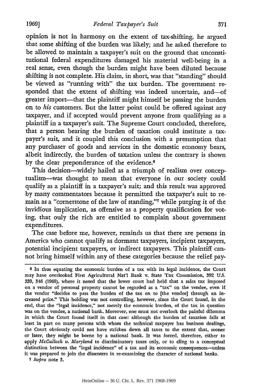opinion is not in harmony on the extent of tax-shifting, he argued that some shifting of the burden was likely; and he asked therefore to be allowed to maintain a taxpayer's suit on the ground that unconstitutional federal expenditures damaged his material well-being in a real sense, even though the burden might have been diluted because shifting is not complete. His claim, in short, was that "standing" should be viewed as "running with" the tax burden. The government responded that the extent of shifting was indeed uncertain, and-of greater import-that the plaintiff might himself be passing the burden on to *his* customers. But the latter point could be offered against any taxpayer, and if accepted would prevent anyone from qualifying as a plaintiff in a taxpayer's suit. The Supreme Court concluded, therefore, that a person bearing the burden of taxation could institute a taxpayer's suit, and it coupled this conclusion with a presumption that any purchaser of goods and services in the domestic economy bears, albeit indirectly, the burden of taxation unless the contrary is shown by the clear preponderance of the evidence.<sup>6</sup>

This decision-widely hailed as a triumph of realism over conceptualism-was thought to mean that everyone in our society could qualify as a plaintiff in a taxpayer's suit; and this result was approved by many commentators because it permitted the taxpayer's suit to remain as a "cornerstone of the law of standing,"7 while purging it of the invidious implication, as offensive as a property qualification for voting, that only the rich are entitled to complain about government expenditures.

The case before me, however, reminds us that there are persons in America who cannot qualify as dormant taxpayers, incipient taxpayers, potential incipient taxpayers, or indirect taxpayers. This plaintiff cannot bring himself within any of these categories because the relief pay-

**<sup>6</sup>** In thus equating the economic burden of a tax with its legal incidence, the Court may have overlooked First Agricultural Nat'l Bank v. State Tax Commission, 392 US. 339, 346 (1968), where it noted that the lower court had held that a sales tax imposed on a vendor of personal property cannot be regarded as a "tax" on the vendee, even if the vendor "decides to pass the burden of the tax on to [the vendee) through an increased price." This holding was not controlling, however, since the Court found, in the end, that the "legal incidence," not merely the economic burden, of the tax in question was on the vendee, a national bank. Moreover, one must not overlook the painful dilemma in which the Court found itself in that case: although the burden of taxation falls at least in part on many persons with whom the technical taxpayer has business dealings, the Court obviously could not have stricken down all taxes to the extent that, sooner or later, they might be borne by a national bank. It was forced, therefore, either to apply *McCulloch v. Maryland* to discriminatory taxes only, or to cling to a conceptual distinction between the "legal incidence" of a tax and its economic consequences-unless it was prepared to join the dissenters in re-examining the character of national banks.

<sup>7</sup> Supra note **3.**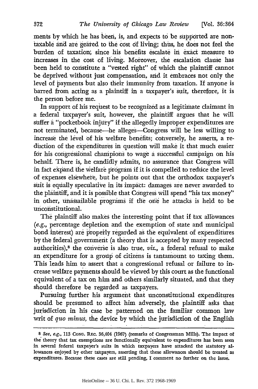ments by which he has been, is, and expects to be supported are nontaxable and are geared to the cost **of** living; thus, he does not feel the burden of taxation; since his benefits escalate in exact measure to increases in the cost of living. Moreover, the escalation clause has been held to constitute a "vested right" of which the plaintiff cannot be deprived without just compensation, and it embraces not only the level of payments but also their immunity from taxation. If anyone is barred from acting as a plaintiff in a taxpayer's suit, therefore, it is the person before me.

In support of his request to be recognized as a legitimate claimant in a federal taxpayer's suit, however, the plaintiff argues that he will suffer a "pocketbook injury" if the allegedly improper expenditures are not terminated, because-he alleges-Congress will be less willing to increase the level of his welfare benefits; conversely, he asserts, a reduction of the expenditures in question will make it that much easier for his congressional champions to wage a successful campaign on his behalf. There is, he candidly admits, no assurance that Congress will in fact expand the welfare program if it is compelled to reduce the level of expenses elsewhere, but he points out that the orthodox taxpayer's suit is equally speculative in its impact: damages are never awarded to the plaintiff, and it is possible that Congress will spend "his tax money" in other, Unaisailable programs if the orie he attacks is held to be unconstitutional.

The plaintiff also makes the interesting point that if tax allbwances (e.g., percentage depletion and the exemption of state and municipal bond interest) are properly regarded as the equivalent of expenditures by the federal government (a theory that is accepted by many respected authorities),8 the converse is also true, *viz.,* a federal refusal to make an expenditure for a group of citizens is tantamount to taxing them. This leads him to assert that a congressional refusal or failure to increase welfare payments should be viewed by this court as the functional equivalent of a tax on him and others similarly situated, and that they should therefore be regarded as taxpayers.

Pursuing further his argument that unconstitutional expenditures should be presumed to affect him adversely, the plaintiff asks that jurisdiction in his case be patterned on the familiar common law writ of *quo minus,* the device by which the jurisdiction of the English

**<sup>8</sup>**See, e.g., 113 **CONG. RiEc.** 36,404 (1967) (remarks of Congressman Mills). The impact of the theory that tax exemptions are functionally equivalent to expenditures has been seen in several federal taxpayer's suits in which taxpayers have attacked the statutory allowances enjoyed by other taxpayers, asserting that these allowances should be treated as expenditures. Because these cases are still pending, I comment no further on the issue.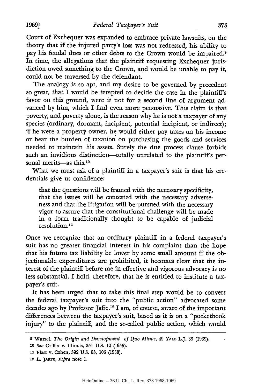373

Court of Exchequer was expanded to embrace private lawsuits, on the theory that if the injured party's loss was not redressed, his ability to pay his feudal dues or other debts to the Crown would be impaired.9 In time, the allegations that the plaintiff requesting Exchequer jurisdiction owed something to the Crown, and would be unable to pay it, could not be traversed by the defendant.

The analogy is so apt, and my desire to be governed by precedent so great, that I would be tempted to decide the case in the plaintiff's favor on this ground, were it not for a second line of argument advanced by him, which I find even more persuasive. This claim is that poverty, and poverty alone, is the reason why he is not a taxpayer of any species (ordinary, dormant, incipient, potential incipient, or indirect); if he were a property owner, he would either pay taxes on his income or bear the burden of taxation on purchasing the goods and services needed to maintain his assets. Surely the due process clause forbids such an invidious distinction-totally unrelated to the plaintiff's personal merits-as this.<sup>10</sup>

What we must ask of a plaintiff in a taxpayer's suit is that his credentials give us confidence:

that the questions will be framed with the necessary specificity, that the issues will be contested with the necessary adverseness and that the litigation will be pursued with the necessary vigor to assure that the constitutional challenge will be made in a form traditionally thought to be capable of judicial resolution.<sup>11</sup>

Once we recognize that an ordinary plaintiff in a federal taxpayer's suit has no greater financial interest in his complaint than the hope that his future tax liability be lower by some small amount if the objectionable expenditures are prohibited, it becomes clear that the interest of the plaintiff before me in effective and vigorous advocacy is no less substantial. I hold, therefore, that he is entitled to institute a taxpayer's suit.

It has been urged that to take this final step would be to convert the federal taxpayer's suit into the "public action" advocated some decades ago by Professor Jaffe.<sup>12</sup> I am, of course, aware of the important differences between the taxpayer's suit, based as it is on a "pocketbook injury" to the plaintiff, and the so-called public action, which would

**19691**

**<sup>9</sup>** Wurzel, *The Origin and Development of Quo Minus,* 49 YALE L.J. **39 (1939).**

*<sup>10</sup> See* Griffin v. Illinois, **351 U.S.** 12 **(1955).**

**<sup>11</sup> Flast v. Cohen, 392 U.S. 83, 106 (1968).**

**<sup>12</sup> L. JAFFE,** *supra* note **1.**